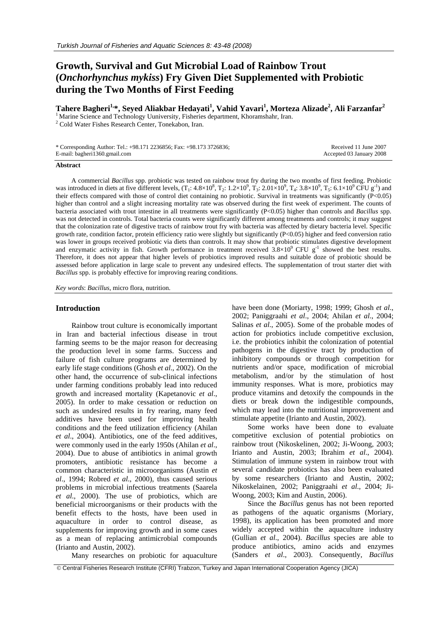# **Growth, Survival and Gut Microbial Load of Rainbow Trout (***Onchorhynchus mykiss***) Fry Given Diet Supplemented with Probiotic during the Two Months of First Feeding**

 $\bf {Tahere~Bagheri^{1,\ast}, Seyed~Aliakbar~Hedayati^1, Vahid~Yavari^1, Morteza Alizade^2, Ali~Farzanfar^2}$ 

 $<sup>1</sup>$  Marine Science and Technology Uuniversity, Fisheries department, Khoramshahr, Iran.</sup>  $2$  Cold Water Fishes Research Center, Tonekabon, Iran.

| * Corresponding Author: Tel.: +98.171 2236856; Fax: +98.173 3726836; | Received 11 June 2007    |
|----------------------------------------------------------------------|--------------------------|
| E-mail: bagheri1360.gmail.com                                        | Accepted 03 January 2008 |

#### **Abstract**

A commercial *Bacillus* spp. probiotic was tested on rainbow trout fry during the two months of first feeding. Probiotic was introduced in diets at five different levels,  $(T_1: 4.8 \times 10^8, T_2: 1.2 \times 10^9, T_3: 2.01 \times 10^9, T_4: 3.8 \times 10^9, T_5: 6.1 \times 10^9$  CFU  $g^{-1}$ ) and their effects compared with those of control diet containing no probiotic. Survival in treatments was significantly (P<0.05) higher than control and a slight increasing mortality rate was observed during the first week of experiment. The counts of bacteria associated with trout intestine in all treatments were significantly (P<0.05) higher than controls and *Bacillus* spp. was not detected in controls. Total bacteria counts were significantly different among treatments and controls; it may suggest that the colonization rate of digestive tracts of rainbow trout fry with bacteria was affected by dietary bacteria level. Specific growth rate, condition factor, protein efficiency ratio were slightly but significantly (P<0.05) higher and feed conversion ratio was lower in groups received probiotic via diets than controls. It may show that probiotic stimulates digestive development and enzymatic activity in fish. Growth performance in treatment received  $3.8 \times 10^9$  CFU g<sup>-1</sup> showed the best results. Therefore, it does not appear that higher levels of probiotics improved results and suitable doze of probiotic should be assessed before application in large scale to prevent any undesired effects. The supplementation of trout starter diet with *Bacillus* spp. is probably effective for improving rearing conditions.

*Key words*: *Bacillus*, micro flora, nutrition.

## **Introduction**

Rainbow trout culture is economically important in Iran and bacterial infectious disease in trout farming seems to be the major reason for decreasing the production level in some farms. Success and failure of fish culture programs are determined by early life stage conditions (Ghosh *et al*., 2002). On the other hand, the occurrence of sub-clinical infections under farming conditions probably lead into reduced growth and increased mortality (Kapetanovic *et al*., 2005). In order to make cessation or reduction on such as undesired results in fry rearing, many feed additives have been used for improving health conditions and the feed utilization efficiency (Ahilan *et al*., 2004). Antibiotics, one of the feed additives, were commonly used in the early 1950s (Ahilan *et al*., 2004). Due to abuse of antibiotics in animal growth promoters, antibiotic resistance has become a common characteristic in microorganisms (Austin *et al*., 1994; Robred *et al*., 2000), thus caused serious problems in microbial infectious treatments (Saarela *et al*., 2000). The use of probiotics, which are beneficial microorganisms or their products with the benefit effects to the hosts, have been used in aquaculture in order to control disease, as supplements for improving growth and in some cases as a mean of replacing antimicrobial compounds (Irianto and Austin, 2002).

have been done (Moriarty, 1998; 1999; Ghosh *et al*., 2002; Paniggraahi *et al*., 2004; Ahilan *et al*., 2004; Salinas *et al*., 2005). Some of the probable modes of action for probiotics include competitive exclusion, i.e. the probiotics inhibit the colonization of potential pathogens in the digestive tract by production of inhibitory compounds or through competition for nutrients and/or space, modification of microbial metabolism, and/or by the stimulation of host immunity responses. What is more, probiotics may produce vitamins and detoxify the compounds in the diets or break down the indigestible compounds, which may lead into the nutritional improvement and stimulate appetite (Irianto and Austin, 2002).

Some works have been done to evaluate competitive exclusion of potential probiotics on rainbow trout (Nikoskelinen, 2002; Ji-Woong, 2003; Irianto and Austin, 2003; Ibrahim *et al*., 2004). Stimulation of immune system in rainbow trout with several candidate probiotics has also been evaluated by some researchers (Irianto and Austin, 2002; Nikoskelainen, 2002; Paniggraahi *et al*., 2004; Ji-Woong, 2003; Kim and Austin, 2006).

Since the *Bacillus* genus has not been reported as pathogens of the aquatic organisms (Moriary, 1998), its application has been promoted and more widely accepted within the aquaculture industry (Gullian *et al*., 2004). *Bacillus* species are able to produce antibiotics, amino acids and enzymes (Sanders *et al*., 2003). Consequently, *Bacillus*

Many researches on probiotic for aquaculture

© Central Fisheries Research Institute (CFRI) Trabzon, Turkey and Japan International Cooperation Agency (JICA)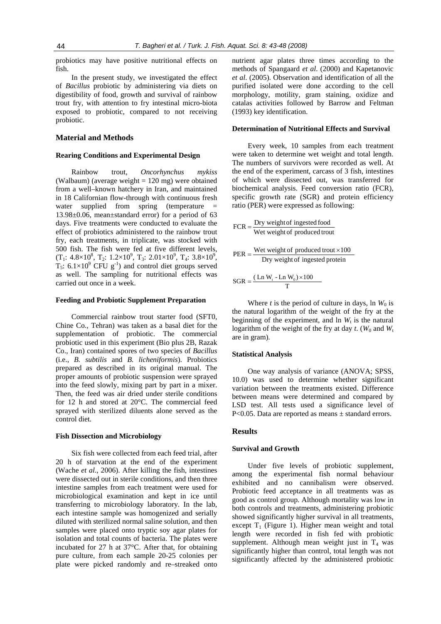probiotics may have positive nutritional effects on fish.

In the present study, we investigated the effect of *Bacillus* probiotic by administering via diets on digestibility of food, growth and survival of rainbow trout fry, with attention to fry intestinal micro-biota exposed to probiotic, compared to not receiving probiotic.

## **Material and Methods**

## **Rearing Conditions and Experimental Design**

Rainbow trout, *Oncorhynchus mykiss* (Walbaum) (average weight  $= 120$  mg) were obtained from a well–known hatchery in Iran, and maintained in 18 Californian flow-through with continuous fresh water supplied from spring (temperature = 13.98±0.06, mean±standard error) for a period of 63 days. Five treatments were conducted to evaluate the effect of probiotics administered to the rainbow trout fry, each treatments, in triplicate, was stocked with 500 fish. The fish were fed at five different levels,  $(T_1: 4.8 \times 10^8, T_2: 1.2 \times 10^9, T_3: 2.01 \times 10^9, T_4: 3.8 \times 10^9,$  $T_5$ : 6.1×10<sup>9</sup> CFU g<sup>-1</sup>) and control diet groups served as well. The sampling for nutritional effects was carried out once in a week.

## **Feeding and Probiotic Supplement Preparation**

Commercial rainbow trout starter food (SFT0, Chine Co., Tehran) was taken as a basal diet for the supplementation of probiotic. The commercial probiotic used in this experiment (Bio plus 2B, Razak Co., Iran) contained spores of two species of *Bacillus* (i.e., *B. subtilis* and *B. licheniformis*). Probiotics prepared as described in its original manual. The proper amounts of probiotic suspension were sprayed into the feed slowly, mixing part by part in a mixer. Then, the feed was air dried under sterile conditions for 12 h and stored at 20°C. The commercial feed sprayed with sterilized diluents alone served as the control diet.

#### **Fish Dissection and Microbiology**

Six fish were collected from each feed trial, after 20 h of starvation at the end of the experiment (Wache *et al*., 2006). After killing the fish, intestines were dissected out in sterile conditions, and then three intestine samples from each treatment were used for microbiological examination and kept in ice until transferring to microbiology laboratory. In the lab, each intestine sample was homogenized and serially diluted with sterilized normal saline solution, and then samples were placed onto tryptic soy agar plates for isolation and total counts of bacteria. The plates were incubated for 27 h at 37°C. After that, for obtaining pure culture, from each sample 20-25 colonies per plate were picked randomly and re–streaked onto

nutrient agar plates three times according to the methods of Spangaard *et al*. (2000) and Kapetanovic *et al*. (2005). Observation and identification of all the purified isolated were done according to the cell morphology, motility, gram staining, oxidize and catalas activities followed by Barrow and Feltman (1993) key identification.

## **Determination of Nutritional Effects and Survival**

Every week, 10 samples from each treatment were taken to determine wet weight and total length. The numbers of survivors were recorded as well. At the end of the experiment, carcass of 3 fish, intestines of which were dissected out, was transferred for biochemical analysis. Feed conversion ratio (FCR), specific growth rate (SGR) and protein efficiency ratio (PER) were expressed as following:

$$
FCR = \frac{Dry \ weight of \ ingested food}{Wet \ weight of \ produced \ trout}
$$

$$
PER = \frac{Wet weight of produced trout \times 100}{Dry weight of ingested protein}
$$

$$
SGR = \frac{(\text{Ln } W_t - \text{Ln } W_0) \times 100}{T}
$$

Where *t* is the period of culture in days, ln  $W_0$  is the natural logarithm of the weight of the fry at the beginning of the experiment, and  $\ln W_t$  is the natural logarithm of the weight of the fry at day *t*. ( $W_0$  and  $W_t$ are in gram).

### **Statistical Analysis**

One way analysis of variance (ANOVA; SPSS, 10.0) was used to determine whether significant variation between the treatments existed. Difference between means were determined and compared by LSD test. All tests used a significance level of P<0.05. Data are reported as means ± standard errors.

#### **Results**

#### **Survival and Growth**

Under five levels of probiotic supplement, among the experimental fish normal behaviour exhibited and no cannibalism were observed. Probiotic feed acceptance in all treatments was as good as control group. Although mortality was low in both controls and treatments, administering probiotic showed significantly higher survival in all treatments, except  $T_1$  (Figure 1). Higher mean weight and total length were recorded in fish fed with probiotic supplement. Although mean weight just in  $T_4$  was significantly higher than control, total length was not significantly affected by the administered probiotic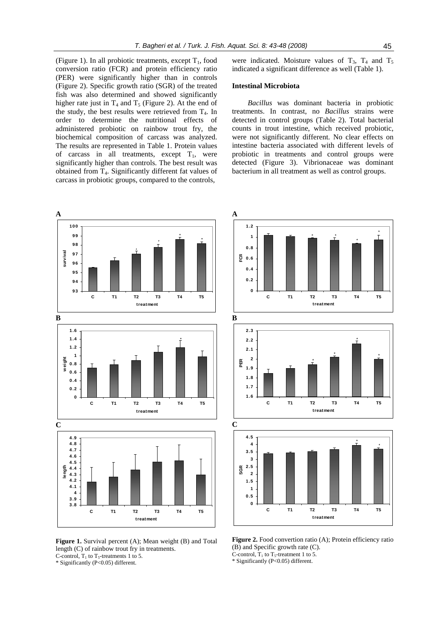**A** 

**0.6 FCR 0.8 1 1.2**

(Figure 1). In all probiotic treatments, except  $T_1$ , food conversion ratio (FCR) and protein efficiency ratio (PER) were significantly higher than in controls (Figure 2). Specific growth ratio (SGR) of the treated fish was also determined and showed significantly higher rate just in  $T_4$  and  $T_5$  (Figure 2). At the end of the study, the best results were retrieved from  $T_4$ . In order to determine the nutritional effects of administered probiotic on rainbow trout fry, the biochemical composition of carcass was analyzed. The results are represented in Table 1. Protein values of carcass in all treatments, except  $T_1$ , were significantly higher than controls. The best result was obtained from T4. Significantly different fat values of carcass in probiotic groups, compared to the controls,

were indicated. Moisture values of  $T_3$ ,  $T_4$  and  $T_5$ indicated a significant difference as well (Table 1).

# **Intestinal Microbiota**

*Bacillus* was dominant bacteria in probiotic treatments. In contrast, no *Bacillus* strains were detected in control groups (Table 2). Total bacterial counts in trout intestine, which received probiotic, were not significantly different. No clear effects on intestine bacteria associated with different levels of probiotic in treatments and control groups were detected (Figure 3). Vibrionaceae was dominant bacterium in all treatment as well as control groups.

\* \*

\*

\*



**Figure 1.** Survival percent (A); Mean weight (B) and Total length (C) of rainbow trout fry in treatments. C-control,  $T_1$  to  $T_5$ -treatments 1 to 5.

\* Significantly (P<0.05) different.

**0 0.2 0.4 C T1 T2 T3 T4 T5 treatment B 1.6 1.7 1.8 1.9 2 2.1 2.2 2.3 C T1 T2 T3 T4 T5 treatment PER** \* \* \* \* **C 0 0.5 1 1.5 2 2.5 3 3.5 4 4.5 C T1 T2 T3 T4 T5 treatment SGR** \* \*

Figure 2. Food convertion ratio (A); Protein efficiency ratio (B) and Specific growth rate (C). C-control,  $T_1$  to  $T_5$ -treatment 1 to 5.

\* Significantly (P<0.05) different.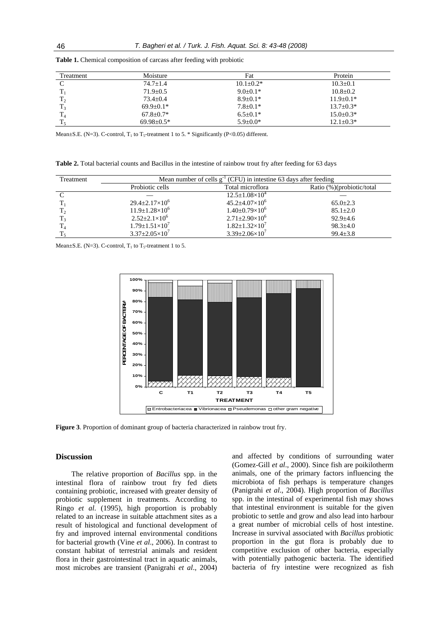| Treatment      | Moisture         | Fat            | Protein        |
|----------------|------------------|----------------|----------------|
| $\Gamma$       | $74.7 + 1.4$     | $10.1 + 0.2*$  | $10.3 + 0.1$   |
| T              | $71.9 + 0.5$     | $9.0 \pm 0.1*$ | $10.8 \pm 0.2$ |
| $T_2$          | $73.4+0.4$       | $8.9 + 0.1*$   | $11.9+0.1*$    |
| $T_3$          | $69.9+0.1*$      | $7.8 \pm 0.1*$ | $13.7 + 0.3*$  |
| T <sub>4</sub> | $67.8 + 0.7*$    | $6.5+0.1*$     | $15.0 + 0.3*$  |
| $T_{\rm s}$    | $69.98 \pm 0.5*$ | $5.9 \pm 0.0*$ | $12.1 + 0.3*$  |

**Table 1.** Chemical composition of carcass after feeding with probiotic

Mean $\pm$ S.E. (N=3). C-control, T<sub>1</sub> to T<sub>5</sub>-treatment 1 to 5. \* Significantly (P<0.05) different.

**Table 2.** Total bacterial counts and Bacillus in the intestine of rainbow trout fry after feeding for 63 days

| Treatment | Mean number of cells $g^{-1}$ (CFU) in intestine 63 days after feeding |                             |                           |  |
|-----------|------------------------------------------------------------------------|-----------------------------|---------------------------|--|
|           | Probiotic cells                                                        | Total microflora            | Ratio (%)(probiotic/total |  |
|           |                                                                        | $12.5 \pm 1.08 \times 10^4$ |                           |  |
|           | $29.4 \pm 2.17 \times 10^6$                                            | $45.2 \pm 4.07 \times 10^6$ | $65.0 \pm 2.3$            |  |
| $T_2$     | $11.9 \pm 1.28 \times 10^6$                                            | $1.40 \pm 0.79 \times 10^6$ | $85.1 \pm 2.0$            |  |
|           | $2.52 \pm 2.1 \times 10^6$                                             | $2.71 \pm 2.90 \times 10^6$ | $92.9 \pm 4.6$            |  |
|           | $1.79 \pm 1.51 \times 10^7$                                            | $1.82 \pm 1.32 \times 10^7$ | $98.3 \pm 4.0$            |  |
|           | $3.37 \pm 2.05 \times 10^7$                                            | $3.39 \pm 2.06 \times 10^7$ | $99.4 \pm 3.8$            |  |

Mean $\pm$ S.E. (N=3). C-control,  $T_1$  to  $T_5$ -treatment 1 to 5.



**Figure 3**. Proportion of dominant group of bacteria characterized in rainbow trout fry.

# **Discussion**

The relative proportion of *Bacillus* spp. in the intestinal flora of rainbow trout fry fed diets containing probiotic, increased with greater density of probiotic supplement in treatments. According to Ringo *et al*. (1995), high proportion is probably related to an increase in suitable attachment sites as a result of histological and functional development of fry and improved internal environmental conditions for bacterial growth (Vine *et al*., 2006). In contrast to constant habitat of terrestrial animals and resident flora in their gastrointestinal tract in aquatic animals, most microbes are transient (Panigrahi *et al*., 2004)

and affected by conditions of surrounding water (Gomez-Gill *et al*., 2000). Since fish are poikilotherm animals, one of the primary factors influencing the microbiota of fish perhaps is temperature changes (Panigrahi *et al*., 2004). High proportion of *Bacillus*  spp. in the intestinal of experimental fish may shows that intestinal environment is suitable for the given probiotic to settle and grow and also lead into harbour a great number of microbial cells of host intestine. Increase in survival associated with *Bacillus* probiotic proportion in the gut flora is probably due to competitive exclusion of other bacteria, especially with potentially pathogenic bacteria. The identified bacteria of fry intestine were recognized as fish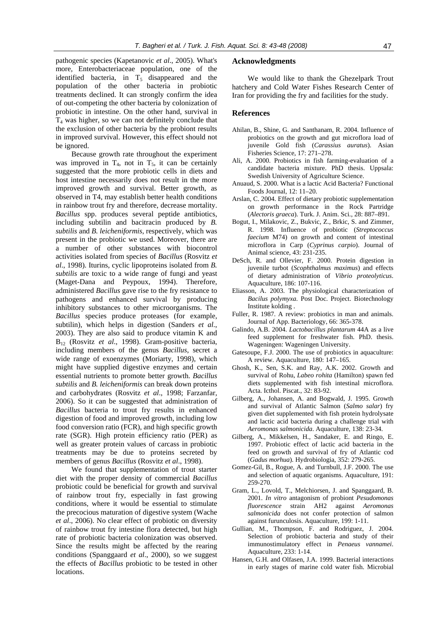pathogenic species (Kapetanovic *et al*., 2005). What's more, Enterobacteriaceae population, one of the identified bacteria, in  $T<sub>5</sub>$  disappeared and the population of the other bacteria in probiotic treatments declined. It can strongly confirm the idea of out-competing the other bacteria by colonization of probiotic in intestine. On the other hand, survival in  $T_4$  was higher, so we can not definitely conclude that the exclusion of other bacteria by the probiont results in improved survival. However, this effect should not be ignored.

Because growth rate throughout the experiment was improved in  $T_4$ , not in  $T_5$ , it can be certainly suggested that the more probiotic cells in diets and host intestine necessarily does not result in the more improved growth and survival. Better growth, as observed in T4, may establish better health conditions in rainbow trout fry and therefore, decrease mortality. *Bacillus* spp. produces several peptide antibiotics, including subtilin and bacitracin produced by *B. subtilis* and *B. leicheniformis*, respectively, which was present in the probiotic we used. Moreover, there are a number of other substances with biocontrol activities isolated from species of *Bacillus* (Rosvitz *et al*., 1998). Iturins, cyclic lipoproteins isolated from *B. subtilis* are toxic to a wide range of fungi and yeast (Maget-Dana and Peypoux, 1994). Therefore, administered *Bacillus* gave rise to the fry resistance to pathogens and enhanced survival by producing inhibitory substances to other microorganisms. The *Bacillus* species produce proteases (for example, subtilin), which helps in digestion (Sanders *et al*., 2003). They are also said to produce vitamin K and B12 (Rosvitz *et al*., 1998). Gram-positive bacteria, including members of the genus *Bacillus*, secret a wide range of exoenzymes (Moriarty, 1998), which might have supplied digestive enzymes and certain essential nutrients to promote better growth. *Bacillus subtilis* and *B. leicheniformis* can break down proteins and carbohydrates (Rosvitz *et al*., 1998; Farzanfar, 2006). So it can be suggested that administration of *Bacillus* bacteria to trout fry results in enhanced digestion of food and improved growth, including low food conversion ratio (FCR), and high specific growth rate (SGR). High protein efficiency ratio (PER) as well as greater protein values of carcass in probiotic treatments may be due to proteins secreted by members of genus *Bacillus* (Rosvitz *et al*., 1998).

We found that supplementation of trout starter diet with the proper density of commercial *Bacillus* probiotic could be beneficial for growth and survival of rainbow trout fry, especially in fast growing conditions, where it would be essential to stimulate the precocious maturation of digestive system (Wache *et al*., 2006). No clear effect of probiotic on diversity of rainbow trout fry intestine flora detected, but high rate of probiotic bacteria colonization was observed. Since the results might be affected by the rearing conditions (Spanggaard *et al*., 2000), so we suggest the effects of *Bacillus* probiotic to be tested in other locations.

#### **Acknowledgments**

We would like to thank the Ghezelpark Trout hatchery and Cold Water Fishes Research Center of Iran for providing the fry and facilities for the study.

#### **References**

- Ahilan, B., Shine, G. and Santhanam, R. 2004. Influence of probiotics on the growth and gut microflora load of juvenile Gold fish (*Carassius auratus*). Asian Fisheries Science, 17: 271–278.
- Ali, A. 2000. Probiotics in fish farming-evaluation of a candidate bacteria mixture. PhD thesis. Uppsala: Swedish University of Agriculture Science.
- Anuaud, S. 2000. What is a lactic Acid Bacteria? Functional Foods Journal, 12: 11–20.
- Arslan, C. 2004. Effect of dietary probiotic supplementation on growth performance in the Rock Partridge (*Alectoris graeca*). Turk. J. Anim. Sci., 28: 887–891.
- Bogut, I., Milakovic, Z., Bukvic, Z., Brkic, S. and Zimmer, R. 1998. Influence of probiotic (*Streptococcus faecium* M74) on growth and content of intestinal microflora in Carp (*Cyprinus carpio*). Journal of Animal science, 43: 231-235.
- DeSch, R. and Ollevier, F. 2000. Protein digestion in juvenile turbot (*Scophthalmus maximus*) and effects of dietary administration of *Vibrio proteolyticus*. Aquaculture, 186: 107-116.
- Eliasson, A. 2003. The physiological characterization of *Bacilus polymyxa*. Post Doc. Project. Biotechnology Institute kolding .
- Fuller, R. 1987. A review: probiotics in man and animals. Journal of App. Bacteriology, 66: 365-378.
- Galindo, A.B. 2004. *Lactobacillus plantarum* 44A as a live feed supplement for freshwater fish. PhD. thesis. Wageningen: Wageningen University.
- Gatesoupe, F.J. 2000. The use of probiotics in aquaculture: A review. Aquaculture, 180: 147–165.
- Ghosh, K., Sen, S.K. and Ray, A.K. 2002. Growth and survival of Rohu, *Labeo rohita* (Hamilton) spawn fed diets supplemented with fish intestinal microflora. Acta. Icthol. Piscat., 32: 83-92.
- Gilberg, A., Johansen, A. and Bogwald, J. 1995. Growth and survival of Atlantic Salmon (*Salmo salar*) fry given diet supplemented with fish protein hydrolysate and lactic acid bacteria during a challenge trial with *Aeromonas salmonicida*. Aquaculture, 138: 23-34.
- Gilberg, A., Mikkelsen, H., Sandaker, E. and Ringo, E. 1997. Probiotic effect of lactic acid bacteria in the feed on growth and survival of fry of Atlantic cod (*Gadus morhua*). Hydrobiologia, 352: 279-265.
- Gomez-Gil, B., Rogue, A. and Turnbull, J.F. 2000. The use and selection of aquatic organisms. Aquaculture, 191: 259-270.
- Gram, L., Lovold, T., Melchiorsen, J. and Spanggaard, B. 2001. *In vitro* antagonism of probiont *Pesudomonas fluorescence* strain AH2 against *Aeromonas salmonicida* does not confer protection of salmon against furunculosis. Aquaculture, 199: 1-11.
- Gullian, M., Thompson, F. and Rodriguez, J. 2004. Selection of probiotic bacteria and study of their immunostimulatory effect in *Penaeus vannamei*. Aquaculture, 233: 1-14.
- Hansen, G.H. and Olfasen, J.A. 1999. Bacterial interactions in early stages of marine cold water fish. Microbial